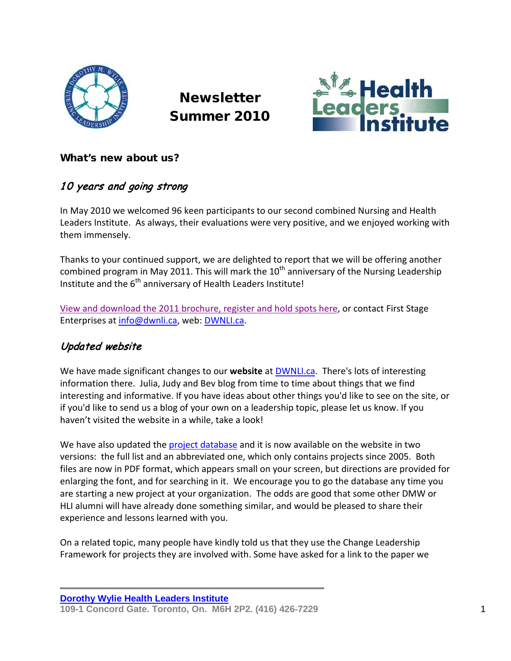

**Newsletter** Summer 2010



#### What's new about us?

## 10 years and going strong

In May 2010 we welcomed 96 keen participants to our second combined Nursing and Health Leaders Institute. As always, their evaluations were very positive, and we enjoyed working with them immensely.

Thanks to your continued support, we are delighted to report that we will be offering another combined program in May 2011. This will mark the  $10<sup>th</sup>$  anniversary of the Nursing Leadership Institute and the 6<sup>th</sup> anniversary of Health Leaders Institute!

[View and download the 2011 brochure, register and hold spots here,](http://dwnli.ca/) or contact First Stage Enterprises at [info@dwnli.ca,](mailto:info@dwnli.ca) web: [DWNLI.ca.](http://dwnli.ca/)

### Updated website

We have made significant changes to our **website** at [DWNLI.ca.](http://dwnli.ca/) There's lots of interesting information there. Julia, Judy and Bev blog from time to time about things that we find interesting and informative. If you have ideas about other things you'd like to see on the site, or if you'd like to send us a blog of your own on a leadership topic, please let us know. If you haven't visited the website in a while, take a look!

We have also updated the [project database](http://dwnli.ca/home-based-projects/) and it is now available on the website in two versions: the full list and an abbreviated one, which only contains projects since 2005. Both files are now in PDF format, which appears small on your screen, but directions are provided for enlarging the font, and for searching in it. We encourage you to go the database any time you are starting a new project at your organization. The odds are good that some other DMW or HLI alumni will have already done something similar, and would be pleased to share their experience and lessons learned with you.

On a related topic, many people have kindly told us that they use the Change Leadership Framework for projects they are involved with. Some have asked for a link to the paper we

**Dorothy [Wylie Health Leaders](http://www.dwnli.ca/) Institute 109-1 Concord Gate. Toronto, On. M6H 2P2. (416) 426-7229** 1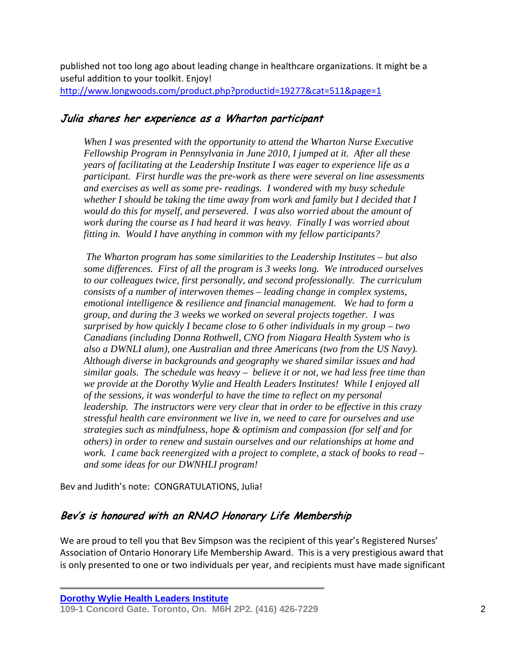published not too long ago about leading change in healthcare organizations. It might be a useful addition to your toolkit. Enjoy! <http://www.longwoods.com/product.php?productid=19277&cat=511&page=1>

#### Julia shares her experience as a Wharton participant

*When I was presented with the opportunity to attend the Wharton Nurse Executive Fellowship Program in Pennsylvania in June 2010, I jumped at it. After all these years of facilitating at the Leadership Institute I was eager to experience life as a participant. First hurdle was the pre-work as there were several on line assessments and exercises as well as some pre- readings. I wondered with my busy schedule whether I should be taking the time away from work and family but I decided that I would do this for myself, and persevered. I was also worried about the amount of work during the course as I had heard it was heavy. Finally I was worried about fitting in. Would I have anything in common with my fellow participants?* 

 *The Wharton program has some similarities to the Leadership Institutes – but also some differences. First of all the program is 3 weeks long. We introduced ourselves to our colleagues twice, first personally, and second professionally. The curriculum consists of a number of interwoven themes – leading change in complex systems, emotional intelligence & resilience and financial management. We had to form a group, and during the 3 weeks we worked on several projects together. I was surprised by how quickly I became close to 6 other individuals in my group – two Canadians (including Donna Rothwell, CNO from Niagara Health System who is also a DWNLI alum), one Australian and three Americans (two from the US Navy). Although diverse in backgrounds and geography we shared similar issues and had similar goals. The schedule was heavy – believe it or not, we had less free time than we provide at the Dorothy Wylie and Health Leaders Institutes! While I enjoyed all of the sessions, it was wonderful to have the time to reflect on my personal leadership. The instructors were very clear that in order to be effective in this crazy stressful health care environment we live in, we need to care for ourselves and use strategies such as mindfulness, hope & optimism and compassion (for self and for others) in order to renew and sustain ourselves and our relationships at home and work. I came back reenergized with a project to complete, a stack of books to read – and some ideas for our DWNHLI program!* 

Bev and Judith's note: CONGRATULATIONS, Julia!

#### Bev's is honoured with an RNAO Honorary Life Membership

We are proud to tell you that Bev Simpson was the recipient of this year's Registered Nurses' Association of Ontario Honorary Life Membership Award. This is a very prestigious award that is only presented to one or two individuals per year, and recipients must have made significant

**Dorothy [Wylie Health Leaders](http://www.dwnli.ca/) Institute** 

**<sup>109-1</sup> Concord Gate. Toronto, On. M6H 2P2. (416) 426-7229** 2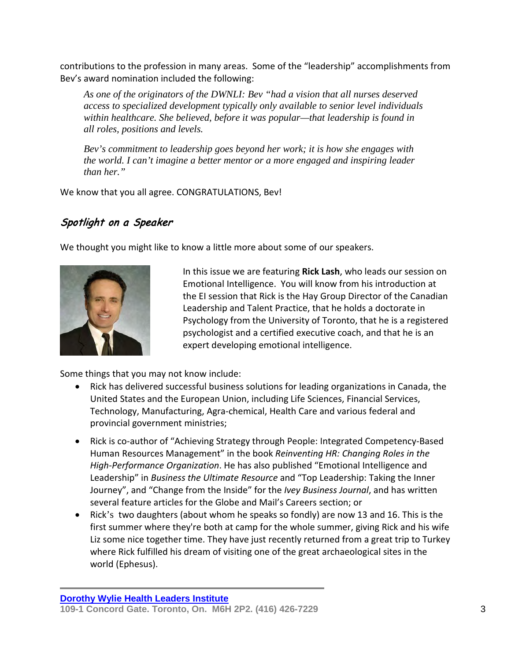contributions to the profession in many areas. Some of the "leadership" accomplishments from Bev's award nomination included the following:

*As one of the originators of the DWNLI: Bev "had a vision that all nurses deserved access to specialized development typically only available to senior level individuals within healthcare. She believed, before it was popular—that leadership is found in all roles, positions and levels.* 

*Bev's commitment to leadership goes beyond her work; it is how she engages with the world. I can't imagine a better mentor or a more engaged and inspiring leader than her."* 

We know that you all agree. CONGRATULATIONS, Bev!

## Spotlight on a Speaker

We thought you might like to know a little more about some of our speakers.



In this issue we are featuring **Rick Lash**, who leads our session on Emotional Intelligence. You will know from his introduction at the EI session that Rick is the Hay Group Director of the Canadian Leadership and Talent Practice, that he holds a doctorate in Psychology from the University of Toronto, that he is a registered psychologist and a certified executive coach, and that he is an expert developing emotional intelligence.

Some things that you may not know include:

- Rick has delivered successful business solutions for leading organizations in Canada, the United States and the European Union, including Life Sciences, Financial Services, Technology, Manufacturing, Agra-chemical, Health Care and various federal and provincial government ministries;
- Rick is co-author of "Achieving Strategy through People: Integrated Competency-Based Human Resources Management" in the book *Reinventing HR: Changing Roles in the High-Performance Organization*. He has also published "Emotional Intelligence and Leadership" in *Business the Ultimate Resource* and "Top Leadership: Taking the Inner Journey", and "Change from the Inside" for the *Ivey Business Journal*, and has written several feature articles for the Globe and Mail's Careers section; or
- Rick's two daughters (about whom he speaks so fondly) are now 13 and 16. This is the first summer where they're both at camp for the whole summer, giving Rick and his wife Liz some nice together time. They have just recently returned from a great trip to Turkey where Rick fulfilled his dream of visiting one of the great archaeological sites in the world (Ephesus).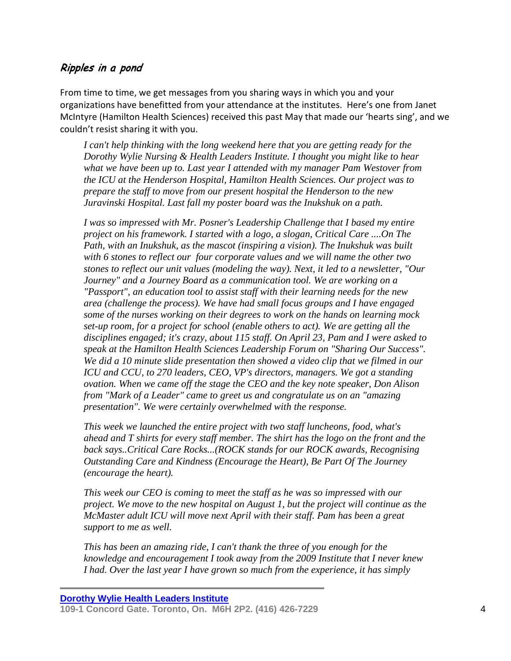#### Ripples in a pond

From time to time, we get messages from you sharing ways in which you and your organizations have benefitted from your attendance at the institutes. Here's one from Janet McIntyre (Hamilton Health Sciences) received this past May that made our 'hearts sing', and we couldn't resist sharing it with you.

*I can't help thinking with the long weekend here that you are getting ready for the Dorothy Wylie Nursing & Health Leaders Institute. I thought you might like to hear what we have been up to. Last year I attended with my manager Pam Westover from the ICU at the Henderson Hospital, Hamilton Health Sciences. Our project was to prepare the staff to move from our present hospital the Henderson to the new Juravinski Hospital. Last fall my poster board was the Inukshuk on a path.*

*I was so impressed with Mr. Posner's Leadership Challenge that I based my entire project on his framework. I started with a logo, a slogan, Critical Care ....On The Path, with an Inukshuk, as the mascot (inspiring a vision). The Inukshuk was built with 6 stones to reflect our four corporate values and we will name the other two stones to reflect our unit values (modeling the way). Next, it led to a newsletter, "Our Journey" and a Journey Board as a communication tool. We are working on a "Passport", an education tool to assist staff with their learning needs for the new area (challenge the process). We have had small focus groups and I have engaged some of the nurses working on their degrees to work on the hands on learning mock set-up room, for a project for school (enable others to act). We are getting all the disciplines engaged; it's crazy, about 115 staff. On April 23, Pam and I were asked to speak at the Hamilton Health Sciences Leadership Forum on "Sharing Our Success". We did a 10 minute slide presentation then showed a video clip that we filmed in our ICU and CCU, to 270 leaders, CEO, VP's directors, managers. We got a standing ovation. When we came off the stage the CEO and the key note speaker, Don Alison from "Mark of a Leader" came to greet us and congratulate us on an "amazing presentation". We were certainly overwhelmed with the response.*

*This week we launched the entire project with two staff luncheons, food, what's ahead and T shirts for every staff member. The shirt has the logo on the front and the back says..Critical Care Rocks...(ROCK stands for our ROCK awards, Recognising Outstanding Care and Kindness (Encourage the Heart), Be Part Of The Journey (encourage the heart).*

*This week our CEO is coming to meet the staff as he was so impressed with our project. We move to the new hospital on August 1, but the project will continue as the McMaster adult ICU will move next April with their staff. Pam has been a great support to me as well.*

*This has been an amazing ride, I can't thank the three of you enough for the knowledge and encouragement I took away from the 2009 Institute that I never knew I had. Over the last year I have grown so much from the experience, it has simply*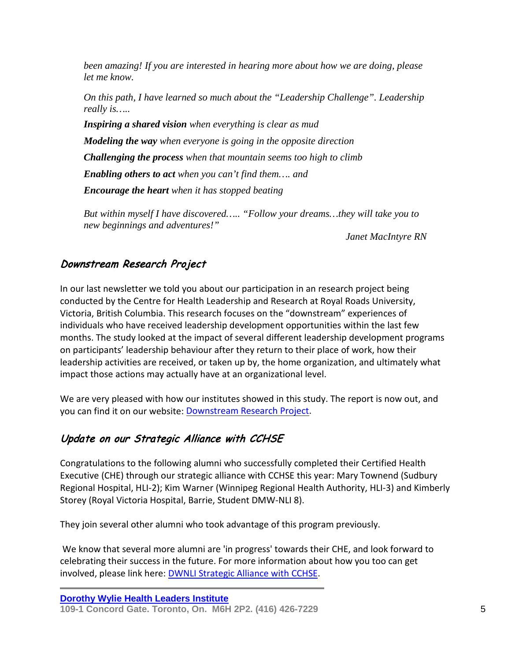*been amazing! If you are interested in hearing more about how we are doing, please let me know.* 

*On this path, I have learned so much about the "Leadership Challenge". Leadership really is…..*

*Inspiring a shared vision when everything is clear as mud*

*Modeling the way when everyone is going in the opposite direction* 

*Challenging the process when that mountain seems too high to climb* 

*Enabling others to act when you can't find them…. and* 

*Encourage the heart when it has stopped beating* 

*But within myself I have discovered….. "Follow your dreams…they will take you to new beginnings and adventures!"* 

*Janet MacIntyre RN* 

## Downstream Research Project

In our last newsletter we told you about our participation in an research project being conducted by the Centre for Health Leadership and Research at Royal Roads University, Victoria, British Columbia. This research focuses on the "downstream" experiences of individuals who have received leadership development opportunities within the last few months. The study looked at the impact of several different leadership development programs on participants' leadership behaviour after they return to their place of work, how their leadership activities are received, or taken up by, the home organization, and ultimately what impact those actions may actually have at an organizational level.

We are very pleased with how our institutes showed in this study. The report is now out, and you can find it on our website: [Downstream Research Project.](http://dwnli.ca/research-papers-and-publications/)

# Update on our Strategic Alliance with CCHSE

Congratulations to the following alumni who successfully completed their Certified Health Executive (CHE) through our strategic alliance with CCHSE this year: Mary Townend (Sudbury Regional Hospital, HLI-2); Kim Warner (Winnipeg Regional Health Authority, HLI-3) and Kimberly Storey (Royal Victoria Hospital, Barrie, Student DMW-NLI 8).

They join several other alumni who took advantage of this program previously.

 We know that several more alumni are 'in progress' towards their CHE, and look forward to celebrating their success in the future. For more information about how you too can get involved, please link here: [DWNLI Strategic Alliance with CCHSE.](http://dwnli.ca/2008/01/01/the-dorothy-wylie-nursing-health-leaders-institute-hli-signs-a-strategic-alliance-with-the-canadian-college-of-health-service-executives/)

**<sup>109-1</sup> Concord Gate. Toronto, On. M6H 2P2. (416) 426-7229** 5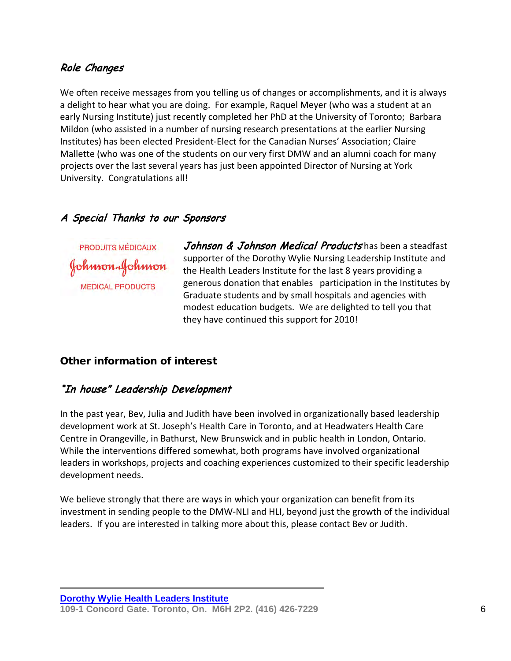### Role Changes

We often receive messages from you telling us of changes or accomplishments, and it is always a delight to hear what you are doing. For example, Raquel Meyer (who was a student at an early Nursing Institute) just recently completed her PhD at the University of Toronto; Barbara Mildon (who assisted in a number of nursing research presentations at the earlier Nursing Institutes) has been elected President-Elect for the Canadian Nurses' Association; Claire Mallette (who was one of the students on our very first DMW and an alumni coach for many projects over the last several years has just been appointed Director of Nursing at York University. Congratulations all!

### A Special Thanks to our Sponsors

PRODUITS MÉDICAUX Johnson Johnson **MEDICAL PRODUCTS** 

Johnson & Johnson Medical Products has been a steadfast supporter of the Dorothy Wylie Nursing Leadership Institute and the Health Leaders Institute for the last 8 years providing a generous donation that enables participation in the Institutes by Graduate students and by small hospitals and agencies with modest education budgets. We are delighted to tell you that they have continued this support for 2010!

#### Other information of interest

#### "In house" Leadership Development

In the past year, Bev, Julia and Judith have been involved in organizationally based leadership development work at St. Joseph's Health Care in Toronto, and at Headwaters Health Care Centre in Orangeville, in Bathurst, New Brunswick and in public health in London, Ontario. While the interventions differed somewhat, both programs have involved organizational leaders in workshops, projects and coaching experiences customized to their specific leadership development needs.

We believe strongly that there are ways in which your organization can benefit from its investment in sending people to the DMW-NLI and HLI, beyond just the growth of the individual leaders. If you are interested in talking more about this, please contact Bev or Judith.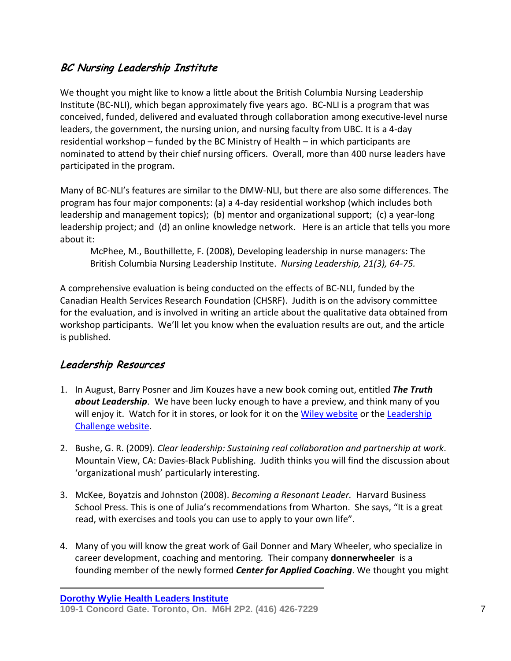# BC Nursing Leadership Institute

We thought you might like to know a little about the British Columbia Nursing Leadership Institute (BC-NLI), which began approximately five years ago. BC-NLI is a program that was conceived, funded, delivered and evaluated through collaboration among executive-level nurse leaders, the government, the nursing union, and nursing faculty from UBC. It is a 4-day residential workshop – funded by the BC Ministry of Health – in which participants are nominated to attend by their chief nursing officers. Overall, more than 400 nurse leaders have participated in the program.

Many of BC-NLI's features are similar to the DMW-NLI, but there are also some differences. The program has four major components: (a) a 4-day residential workshop (which includes both leadership and management topics); (b) mentor and organizational support; (c) a year-long leadership project; and (d) an online knowledge network. Here is an article that tells you more about it:

McPhee, M., Bouthillette, F. (2008), Developing leadership in nurse managers: The British Columbia Nursing Leadership Institute. *Nursing Leadership, 21(3), 64-75.* 

A comprehensive evaluation is being conducted on the effects of BC-NLI, funded by the Canadian Health Services Research Foundation (CHSRF). Judith is on the advisory committee for the evaluation, and is involved in writing an article about the qualitative data obtained from workshop participants. We'll let you know when the evaluation results are out, and the article is published.

### Leadership Resources

- 1. In August, Barry Posner and Jim Kouzes have a new book coming out, entitled *The Truth about Leadership*. We have been lucky enough to have a preview, and think many of you will enjoy it. Watch for it in stores, or look for it on the [Wiley website](http://ca.wiley.com/WileyCDA/WileyTitle/productCd-0470633549.html) or the Leadership [Challenge website.](http://ca.leadershipchallenge.com/WileyCDA/LCTitle/productCd-0470633549.html)
- 2. Bushe, G. R. (2009). *Clear leadership: Sustaining real collaboration and partnership at work*. Mountain View, CA: Davies-Black Publishing. Judith thinks you will find the discussion about 'organizational mush' particularly interesting.
- 3. McKee, Boyatzis and Johnston (2008). *Becoming a Resonant Leader.* Harvard Business School Press. This is one of Julia's recommendations from Wharton. She says, "It is a great read, with exercises and tools you can use to apply to your own life".
- 4. Many of you will know the great work of Gail Donner and Mary Wheeler, who specialize in career development, coaching and mentoring*.* Their company **donnerwheeler** is a founding member of the newly formed *Center for Applied Coaching*. We thought you might